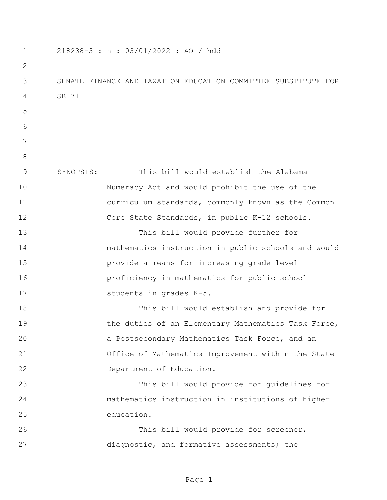218238-3 : n : 03/01/2022 : AO / hdd SENATE FINANCE AND TAXATION EDUCATION COMMITTEE SUBSTITUTE FOR SB171 SYNOPSIS: This bill would establish the Alabama Numeracy Act and would prohibit the use of the curriculum standards, commonly known as the Common 12 Core State Standards, in public K-12 schools. This bill would provide further for mathematics instruction in public schools and would provide a means for increasing grade level proficiency in mathematics for public school 17 students in grades K-5. This bill would establish and provide for 19 the duties of an Elementary Mathematics Task Force, a Postsecondary Mathematics Task Force, and an Office of Mathematics Improvement within the State Department of Education. This bill would provide for guidelines for mathematics instruction in institutions of higher education. This bill would provide for screener, diagnostic, and formative assessments; the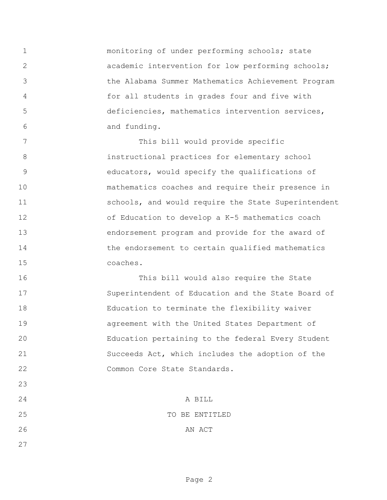monitoring of under performing schools; state academic intervention for low performing schools; the Alabama Summer Mathematics Achievement Program for all students in grades four and five with deficiencies, mathematics intervention services, and funding.

 This bill would provide specific instructional practices for elementary school educators, would specify the qualifications of mathematics coaches and require their presence in schools, and would require the State Superintendent of Education to develop a K-5 mathematics coach endorsement program and provide for the award of 14 the endorsement to certain qualified mathematics coaches.

 This bill would also require the State Superintendent of Education and the State Board of Education to terminate the flexibility waiver agreement with the United States Department of Education pertaining to the federal Every Student Succeeds Act, which includes the adoption of the 22 Common Core State Standards.

 A BILL 25 TO BE ENTITLED 26 AN ACT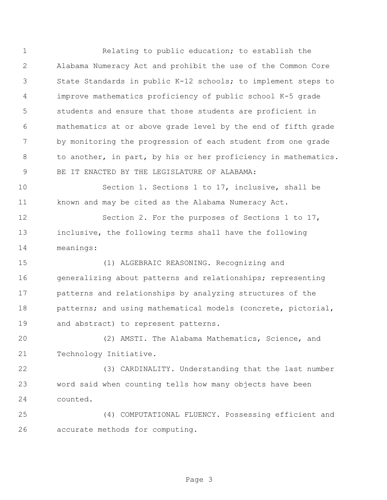Relating to public education; to establish the Alabama Numeracy Act and prohibit the use of the Common Core State Standards in public K-12 schools; to implement steps to improve mathematics proficiency of public school K-5 grade students and ensure that those students are proficient in mathematics at or above grade level by the end of fifth grade by monitoring the progression of each student from one grade to another, in part, by his or her proficiency in mathematics. BE IT ENACTED BY THE LEGISLATURE OF ALABAMA:

 Section 1. Sections 1 to 17, inclusive, shall be known and may be cited as the Alabama Numeracy Act.

 Section 2. For the purposes of Sections 1 to 17, inclusive, the following terms shall have the following meanings:

 (1) ALGEBRAIC REASONING. Recognizing and generalizing about patterns and relationships; representing patterns and relationships by analyzing structures of the 18 patterns; and using mathematical models (concrete, pictorial, and abstract) to represent patterns.

 (2) AMSTI. The Alabama Mathematics, Science, and Technology Initiative.

 (3) CARDINALITY. Understanding that the last number word said when counting tells how many objects have been counted.

 (4) COMPUTATIONAL FLUENCY. Possessing efficient and accurate methods for computing.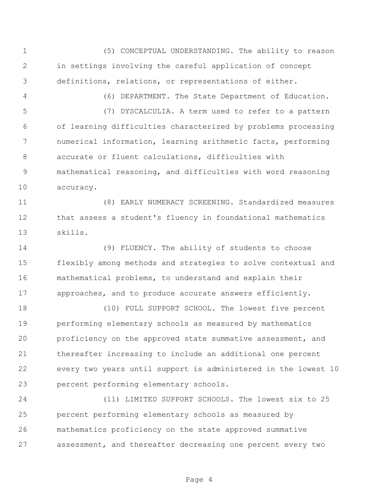(5) CONCEPTUAL UNDERSTANDING. The ability to reason in settings involving the careful application of concept definitions, relations, or representations of either.

(6) DEPARTMENT. The State Department of Education.

 (7) DYSCALCULIA. A term used to refer to a pattern of learning difficulties characterized by problems processing numerical information, learning arithmetic facts, performing accurate or fluent calculations, difficulties with mathematical reasoning, and difficulties with word reasoning accuracy.

 (8) EARLY NUMERACY SCREENING. Standardized measures that assess a student's fluency in foundational mathematics skills.

 (9) FLUENCY. The ability of students to choose flexibly among methods and strategies to solve contextual and mathematical problems, to understand and explain their approaches, and to produce accurate answers efficiently.

 (10) FULL SUPPORT SCHOOL. The lowest five percent performing elementary schools as measured by mathematics proficiency on the approved state summative assessment, and thereafter increasing to include an additional one percent every two years until support is administered in the lowest 10 percent performing elementary schools.

 (11) LIMITED SUPPORT SCHOOLS. The lowest six to 25 percent performing elementary schools as measured by mathematics proficiency on the state approved summative assessment, and thereafter decreasing one percent every two

Page 4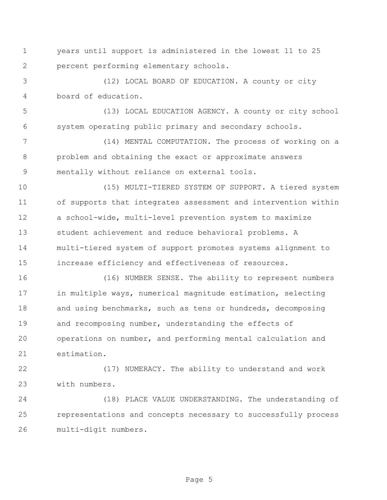years until support is administered in the lowest 11 to 25 percent performing elementary schools.

 (12) LOCAL BOARD OF EDUCATION. A county or city board of education.

 (13) LOCAL EDUCATION AGENCY. A county or city school system operating public primary and secondary schools.

 (14) MENTAL COMPUTATION. The process of working on a problem and obtaining the exact or approximate answers mentally without reliance on external tools.

 (15) MULTI-TIERED SYSTEM OF SUPPORT. A tiered system of supports that integrates assessment and intervention within a school-wide, multi-level prevention system to maximize student achievement and reduce behavioral problems. A multi-tiered system of support promotes systems alignment to increase efficiency and effectiveness of resources.

 (16) NUMBER SENSE. The ability to represent numbers in multiple ways, numerical magnitude estimation, selecting 18 and using benchmarks, such as tens or hundreds, decomposing and recomposing number, understanding the effects of operations on number, and performing mental calculation and estimation.

 (17) NUMERACY. The ability to understand and work with numbers.

 (18) PLACE VALUE UNDERSTANDING. The understanding of representations and concepts necessary to successfully process multi-digit numbers.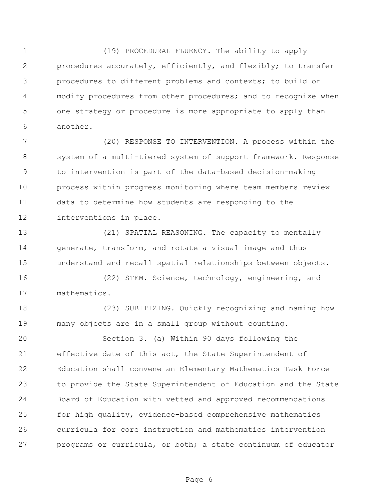(19) PROCEDURAL FLUENCY. The ability to apply procedures accurately, efficiently, and flexibly; to transfer procedures to different problems and contexts; to build or modify procedures from other procedures; and to recognize when one strategy or procedure is more appropriate to apply than another.

 (20) RESPONSE TO INTERVENTION. A process within the system of a multi-tiered system of support framework. Response to intervention is part of the data-based decision-making process within progress monitoring where team members review data to determine how students are responding to the interventions in place.

 (21) SPATIAL REASONING. The capacity to mentally generate, transform, and rotate a visual image and thus understand and recall spatial relationships between objects.

 (22) STEM. Science, technology, engineering, and mathematics.

 (23) SUBITIZING. Quickly recognizing and naming how many objects are in a small group without counting.

 Section 3. (a) Within 90 days following the effective date of this act, the State Superintendent of Education shall convene an Elementary Mathematics Task Force to provide the State Superintendent of Education and the State Board of Education with vetted and approved recommendations for high quality, evidence-based comprehensive mathematics curricula for core instruction and mathematics intervention programs or curricula, or both; a state continuum of educator

Page 6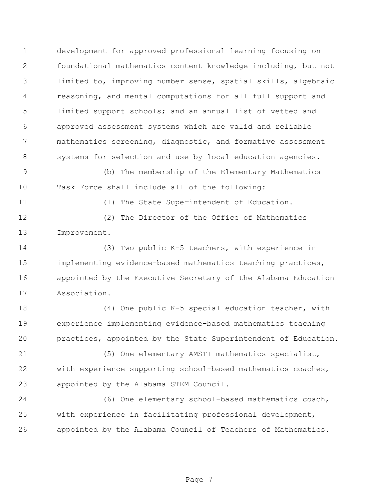development for approved professional learning focusing on foundational mathematics content knowledge including, but not limited to, improving number sense, spatial skills, algebraic reasoning, and mental computations for all full support and limited support schools; and an annual list of vetted and approved assessment systems which are valid and reliable mathematics screening, diagnostic, and formative assessment 8 systems for selection and use by local education agencies.

 (b) The membership of the Elementary Mathematics Task Force shall include all of the following:

(1) The State Superintendent of Education.

 (2) The Director of the Office of Mathematics Improvement.

 (3) Two public K-5 teachers, with experience in implementing evidence-based mathematics teaching practices, appointed by the Executive Secretary of the Alabama Education Association.

 (4) One public K-5 special education teacher, with experience implementing evidence-based mathematics teaching practices, appointed by the State Superintendent of Education.

 (5) One elementary AMSTI mathematics specialist, with experience supporting school-based mathematics coaches, appointed by the Alabama STEM Council.

 (6) One elementary school-based mathematics coach, with experience in facilitating professional development, appointed by the Alabama Council of Teachers of Mathematics.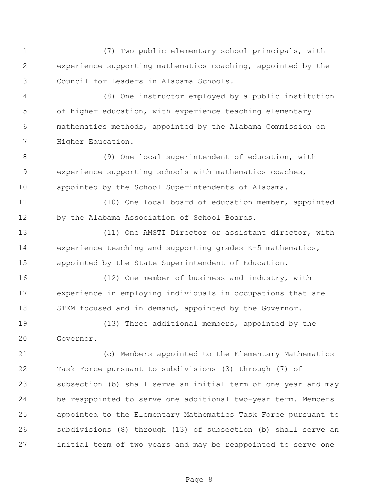(7) Two public elementary school principals, with experience supporting mathematics coaching, appointed by the Council for Leaders in Alabama Schools.

 (8) One instructor employed by a public institution of higher education, with experience teaching elementary mathematics methods, appointed by the Alabama Commission on Higher Education.

8 (9) One local superintendent of education, with experience supporting schools with mathematics coaches, appointed by the School Superintendents of Alabama.

 (10) One local board of education member, appointed by the Alabama Association of School Boards.

 (11) One AMSTI Director or assistant director, with experience teaching and supporting grades K-5 mathematics, appointed by the State Superintendent of Education.

 (12) One member of business and industry, with experience in employing individuals in occupations that are 18 STEM focused and in demand, appointed by the Governor.

 (13) Three additional members, appointed by the Governor.

 (c) Members appointed to the Elementary Mathematics Task Force pursuant to subdivisions (3) through (7) of subsection (b) shall serve an initial term of one year and may be reappointed to serve one additional two-year term. Members appointed to the Elementary Mathematics Task Force pursuant to subdivisions (8) through (13) of subsection (b) shall serve an initial term of two years and may be reappointed to serve one

Page 8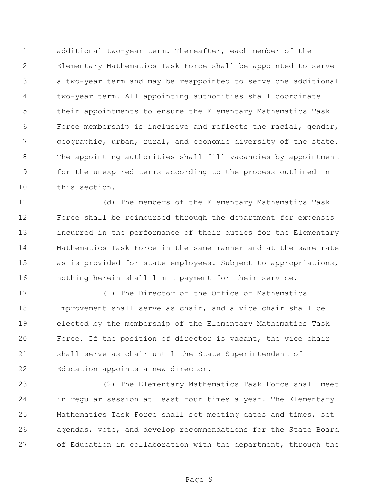additional two-year term. Thereafter, each member of the Elementary Mathematics Task Force shall be appointed to serve a two-year term and may be reappointed to serve one additional two-year term. All appointing authorities shall coordinate their appointments to ensure the Elementary Mathematics Task Force membership is inclusive and reflects the racial, gender, geographic, urban, rural, and economic diversity of the state. The appointing authorities shall fill vacancies by appointment for the unexpired terms according to the process outlined in this section.

 (d) The members of the Elementary Mathematics Task Force shall be reimbursed through the department for expenses incurred in the performance of their duties for the Elementary Mathematics Task Force in the same manner and at the same rate as is provided for state employees. Subject to appropriations, nothing herein shall limit payment for their service.

 (1) The Director of the Office of Mathematics Improvement shall serve as chair, and a vice chair shall be elected by the membership of the Elementary Mathematics Task Force. If the position of director is vacant, the vice chair shall serve as chair until the State Superintendent of Education appoints a new director.

 (2) The Elementary Mathematics Task Force shall meet in regular session at least four times a year. The Elementary Mathematics Task Force shall set meeting dates and times, set agendas, vote, and develop recommendations for the State Board of Education in collaboration with the department, through the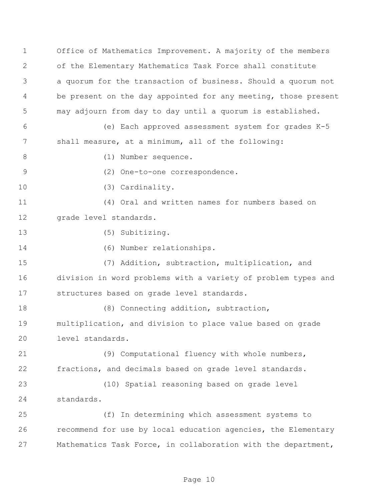Office of Mathematics Improvement. A majority of the members of the Elementary Mathematics Task Force shall constitute a quorum for the transaction of business. Should a quorum not 4 be present on the day appointed for any meeting, those present may adjourn from day to day until a quorum is established. (e) Each approved assessment system for grades K-5 shall measure, at a minimum, all of the following: 8 (1) Number sequence. (2) One-to-one correspondence. 10 (3) Cardinality. (4) Oral and written names for numbers based on grade level standards. (5) Subitizing. (6) Number relationships. (7) Addition, subtraction, multiplication, and division in word problems with a variety of problem types and structures based on grade level standards. 18 (8) Connecting addition, subtraction, multiplication, and division to place value based on grade level standards. (9) Computational fluency with whole numbers, fractions, and decimals based on grade level standards. (10) Spatial reasoning based on grade level standards. (f) In determining which assessment systems to recommend for use by local education agencies, the Elementary Mathematics Task Force, in collaboration with the department,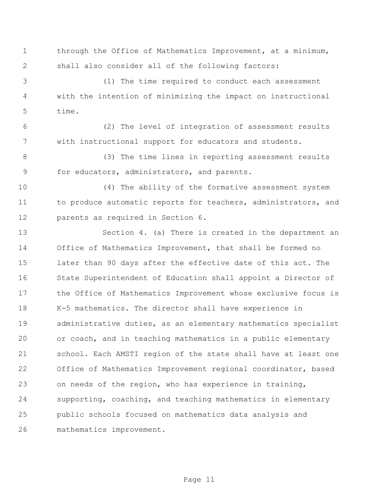1 through the Office of Mathematics Improvement, at a minimum, shall also consider all of the following factors:

 (1) The time required to conduct each assessment with the intention of minimizing the impact on instructional time.

 (2) The level of integration of assessment results with instructional support for educators and students.

 (3) The time lines in reporting assessment results for educators, administrators, and parents.

 (4) The ability of the formative assessment system 11 to produce automatic reports for teachers, administrators, and parents as required in Section 6.

 Section 4. (a) There is created in the department an Office of Mathematics Improvement, that shall be formed no later than 90 days after the effective date of this act. The State Superintendent of Education shall appoint a Director of the Office of Mathematics Improvement whose exclusive focus is K-5 mathematics. The director shall have experience in administrative duties, as an elementary mathematics specialist or coach, and in teaching mathematics in a public elementary school. Each AMSTI region of the state shall have at least one Office of Mathematics Improvement regional coordinator, based on needs of the region, who has experience in training, supporting, coaching, and teaching mathematics in elementary public schools focused on mathematics data analysis and mathematics improvement.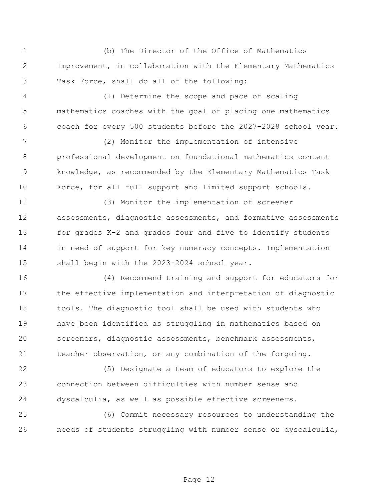(b) The Director of the Office of Mathematics Improvement, in collaboration with the Elementary Mathematics Task Force, shall do all of the following: (1) Determine the scope and pace of scaling mathematics coaches with the goal of placing one mathematics coach for every 500 students before the 2027-2028 school year. (2) Monitor the implementation of intensive professional development on foundational mathematics content knowledge, as recommended by the Elementary Mathematics Task Force, for all full support and limited support schools. (3) Monitor the implementation of screener assessments, diagnostic assessments, and formative assessments for grades K-2 and grades four and five to identify students in need of support for key numeracy concepts. Implementation 15 shall begin with the 2023-2024 school year. (4) Recommend training and support for educators for the effective implementation and interpretation of diagnostic tools. The diagnostic tool shall be used with students who have been identified as struggling in mathematics based on screeners, diagnostic assessments, benchmark assessments, teacher observation, or any combination of the forgoing. (5) Designate a team of educators to explore the connection between difficulties with number sense and dyscalculia, as well as possible effective screeners. (6) Commit necessary resources to understanding the

needs of students struggling with number sense or dyscalculia,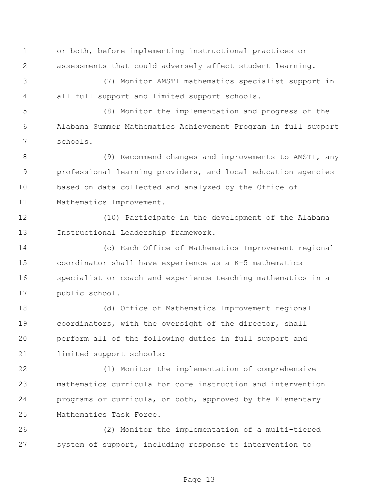or both, before implementing instructional practices or assessments that could adversely affect student learning.

 (7) Monitor AMSTI mathematics specialist support in all full support and limited support schools.

 (8) Monitor the implementation and progress of the Alabama Summer Mathematics Achievement Program in full support schools.

8 (9) Recommend changes and improvements to AMSTI, any professional learning providers, and local education agencies based on data collected and analyzed by the Office of Mathematics Improvement.

 (10) Participate in the development of the Alabama Instructional Leadership framework.

 (c) Each Office of Mathematics Improvement regional coordinator shall have experience as a K-5 mathematics specialist or coach and experience teaching mathematics in a public school.

 (d) Office of Mathematics Improvement regional coordinators, with the oversight of the director, shall perform all of the following duties in full support and limited support schools:

 (1) Monitor the implementation of comprehensive mathematics curricula for core instruction and intervention programs or curricula, or both, approved by the Elementary Mathematics Task Force.

 (2) Monitor the implementation of a multi-tiered system of support, including response to intervention to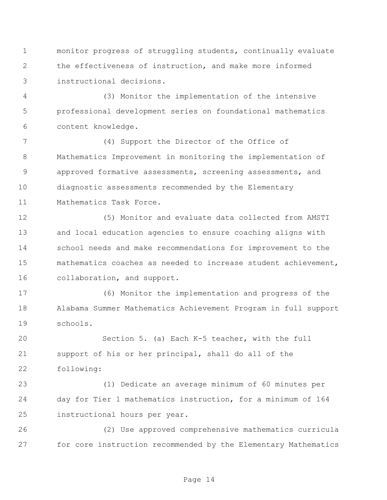monitor progress of struggling students, continually evaluate the effectiveness of instruction, and make more informed instructional decisions.

 (3) Monitor the implementation of the intensive professional development series on foundational mathematics content knowledge.

 (4) Support the Director of the Office of Mathematics Improvement in monitoring the implementation of approved formative assessments, screening assessments, and diagnostic assessments recommended by the Elementary Mathematics Task Force.

 (5) Monitor and evaluate data collected from AMSTI and local education agencies to ensure coaching aligns with school needs and make recommendations for improvement to the mathematics coaches as needed to increase student achievement, collaboration, and support.

 (6) Monitor the implementation and progress of the Alabama Summer Mathematics Achievement Program in full support schools.

 Section 5. (a) Each K-5 teacher, with the full support of his or her principal, shall do all of the following:

 (1) Dedicate an average minimum of 60 minutes per day for Tier 1 mathematics instruction, for a minimum of 164 instructional hours per year.

 (2) Use approved comprehensive mathematics curricula for core instruction recommended by the Elementary Mathematics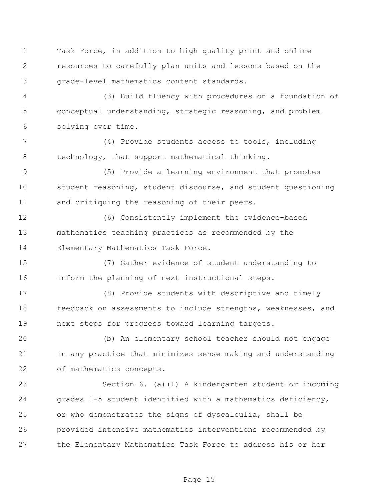Task Force, in addition to high quality print and online resources to carefully plan units and lessons based on the grade-level mathematics content standards.

 (3) Build fluency with procedures on a foundation of conceptual understanding, strategic reasoning, and problem solving over time.

 (4) Provide students access to tools, including technology, that support mathematical thinking.

 (5) Provide a learning environment that promotes student reasoning, student discourse, and student questioning and critiquing the reasoning of their peers.

 (6) Consistently implement the evidence-based mathematics teaching practices as recommended by the Elementary Mathematics Task Force.

 (7) Gather evidence of student understanding to inform the planning of next instructional steps.

 (8) Provide students with descriptive and timely feedback on assessments to include strengths, weaknesses, and next steps for progress toward learning targets.

 (b) An elementary school teacher should not engage in any practice that minimizes sense making and understanding of mathematics concepts.

 Section 6. (a)(1) A kindergarten student or incoming grades 1-5 student identified with a mathematics deficiency, or who demonstrates the signs of dyscalculia, shall be provided intensive mathematics interventions recommended by the Elementary Mathematics Task Force to address his or her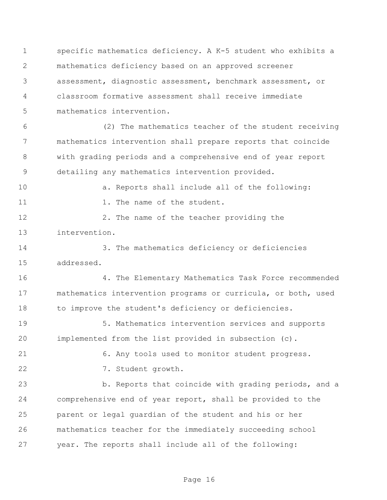specific mathematics deficiency. A K-5 student who exhibits a mathematics deficiency based on an approved screener assessment, diagnostic assessment, benchmark assessment, or classroom formative assessment shall receive immediate mathematics intervention.

 (2) The mathematics teacher of the student receiving mathematics intervention shall prepare reports that coincide with grading periods and a comprehensive end of year report detailing any mathematics intervention provided.

a. Reports shall include all of the following:

11 1. The name of the student.

12 2. The name of the teacher providing the intervention.

 3. The mathematics deficiency or deficiencies addressed.

 4. The Elementary Mathematics Task Force recommended mathematics intervention programs or curricula, or both, used 18 to improve the student's deficiency or deficiencies.

 5. Mathematics intervention services and supports implemented from the list provided in subsection (c).

6. Any tools used to monitor student progress.

7. Student growth.

 b. Reports that coincide with grading periods, and a comprehensive end of year report, shall be provided to the parent or legal guardian of the student and his or her mathematics teacher for the immediately succeeding school year. The reports shall include all of the following: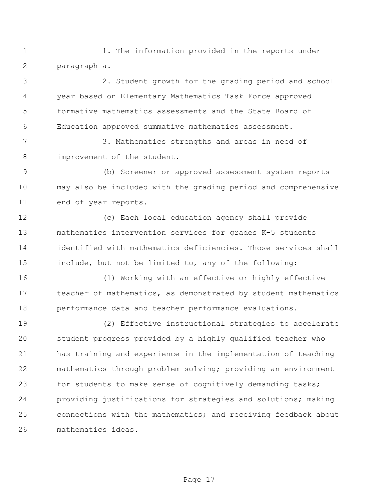1 1. The information provided in the reports under paragraph a.

 2. Student growth for the grading period and school year based on Elementary Mathematics Task Force approved formative mathematics assessments and the State Board of Education approved summative mathematics assessment.

 3. Mathematics strengths and areas in need of 8 improvement of the student.

 (b) Screener or approved assessment system reports may also be included with the grading period and comprehensive end of year reports.

 (c) Each local education agency shall provide mathematics intervention services for grades K-5 students identified with mathematics deficiencies. Those services shall include, but not be limited to, any of the following:

 (1) Working with an effective or highly effective teacher of mathematics, as demonstrated by student mathematics performance data and teacher performance evaluations.

 (2) Effective instructional strategies to accelerate student progress provided by a highly qualified teacher who has training and experience in the implementation of teaching mathematics through problem solving; providing an environment 23 for students to make sense of cognitively demanding tasks; providing justifications for strategies and solutions; making connections with the mathematics; and receiving feedback about mathematics ideas.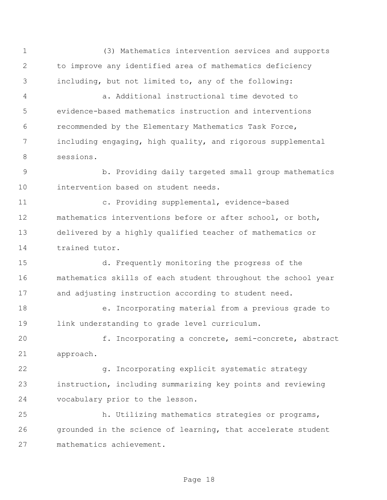(3) Mathematics intervention services and supports to improve any identified area of mathematics deficiency including, but not limited to, any of the following: a. Additional instructional time devoted to evidence-based mathematics instruction and interventions recommended by the Elementary Mathematics Task Force, including engaging, high quality, and rigorous supplemental sessions. b. Providing daily targeted small group mathematics intervention based on student needs. c. Providing supplemental, evidence-based mathematics interventions before or after school, or both, delivered by a highly qualified teacher of mathematics or trained tutor. d. Frequently monitoring the progress of the mathematics skills of each student throughout the school year and adjusting instruction according to student need. e. Incorporating material from a previous grade to link understanding to grade level curriculum. f. Incorporating a concrete, semi-concrete, abstract approach. g. Incorporating explicit systematic strategy instruction, including summarizing key points and reviewing vocabulary prior to the lesson. h. Utilizing mathematics strategies or programs, grounded in the science of learning, that accelerate student mathematics achievement.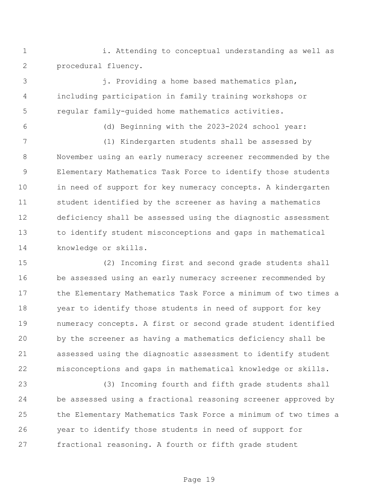i. Attending to conceptual understanding as well as procedural fluency.

 j. Providing a home based mathematics plan, including participation in family training workshops or regular family-guided home mathematics activities.

(d) Beginning with the 2023-2024 school year:

 (1) Kindergarten students shall be assessed by November using an early numeracy screener recommended by the Elementary Mathematics Task Force to identify those students 10 in need of support for key numeracy concepts. A kindergarten student identified by the screener as having a mathematics deficiency shall be assessed using the diagnostic assessment to identify student misconceptions and gaps in mathematical knowledge or skills.

 (2) Incoming first and second grade students shall be assessed using an early numeracy screener recommended by the Elementary Mathematics Task Force a minimum of two times a year to identify those students in need of support for key numeracy concepts. A first or second grade student identified by the screener as having a mathematics deficiency shall be assessed using the diagnostic assessment to identify student misconceptions and gaps in mathematical knowledge or skills.

 (3) Incoming fourth and fifth grade students shall be assessed using a fractional reasoning screener approved by the Elementary Mathematics Task Force a minimum of two times a year to identify those students in need of support for fractional reasoning. A fourth or fifth grade student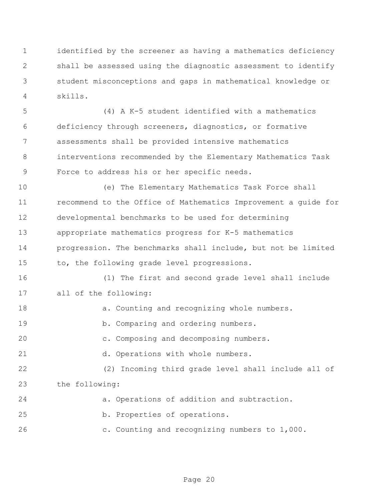identified by the screener as having a mathematics deficiency shall be assessed using the diagnostic assessment to identify student misconceptions and gaps in mathematical knowledge or skills.

 (4) A K-5 student identified with a mathematics deficiency through screeners, diagnostics, or formative assessments shall be provided intensive mathematics interventions recommended by the Elementary Mathematics Task Force to address his or her specific needs.

 (e) The Elementary Mathematics Task Force shall recommend to the Office of Mathematics Improvement a guide for developmental benchmarks to be used for determining appropriate mathematics progress for K-5 mathematics progression. The benchmarks shall include, but not be limited to, the following grade level progressions.

 (1) The first and second grade level shall include all of the following:

18 a. Counting and recognizing whole numbers. 19 b. Comparing and ordering numbers. c. Composing and decomposing numbers. d. Operations with whole numbers. (2) Incoming third grade level shall include all of the following: a. Operations of addition and subtraction. b. Properties of operations.

c. Counting and recognizing numbers to 1,000.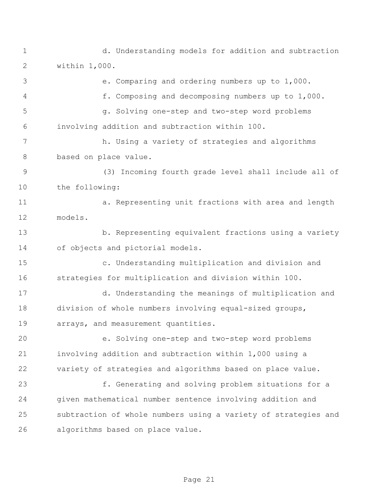d. Understanding models for addition and subtraction within 1,000.

 e. Comparing and ordering numbers up to 1,000. f. Composing and decomposing numbers up to 1,000. g. Solving one-step and two-step word problems involving addition and subtraction within 100. h. Using a variety of strategies and algorithms based on place value. (3) Incoming fourth grade level shall include all of the following: a. Representing unit fractions with area and length models. b. Representing equivalent fractions using a variety of objects and pictorial models. c. Understanding multiplication and division and strategies for multiplication and division within 100. d. Understanding the meanings of multiplication and division of whole numbers involving equal-sized groups, arrays, and measurement quantities. e. Solving one-step and two-step word problems involving addition and subtraction within 1,000 using a variety of strategies and algorithms based on place value. f. Generating and solving problem situations for a given mathematical number sentence involving addition and subtraction of whole numbers using a variety of strategies and algorithms based on place value.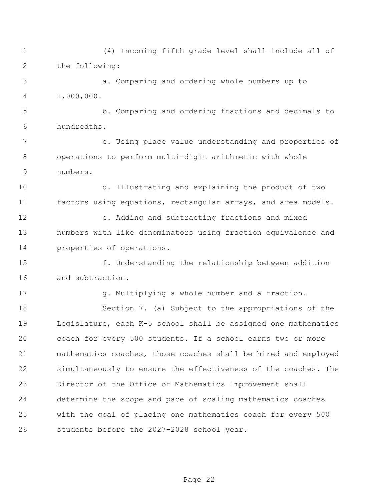(4) Incoming fifth grade level shall include all of the following: a. Comparing and ordering whole numbers up to 1,000,000. b. Comparing and ordering fractions and decimals to hundredths. c. Using place value understanding and properties of operations to perform multi-digit arithmetic with whole numbers. d. Illustrating and explaining the product of two factors using equations, rectangular arrays, and area models. e. Adding and subtracting fractions and mixed numbers with like denominators using fraction equivalence and properties of operations. f. Understanding the relationship between addition and subtraction. g. Multiplying a whole number and a fraction. Section 7. (a) Subject to the appropriations of the Legislature, each K-5 school shall be assigned one mathematics coach for every 500 students. If a school earns two or more mathematics coaches, those coaches shall be hired and employed simultaneously to ensure the effectiveness of the coaches. The Director of the Office of Mathematics Improvement shall determine the scope and pace of scaling mathematics coaches with the goal of placing one mathematics coach for every 500 students before the 2027-2028 school year.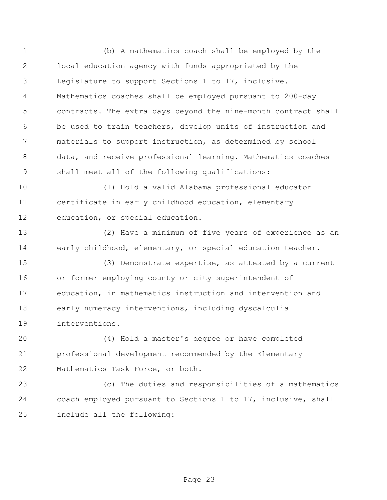(b) A mathematics coach shall be employed by the local education agency with funds appropriated by the Legislature to support Sections 1 to 17, inclusive. Mathematics coaches shall be employed pursuant to 200-day contracts. The extra days beyond the nine-month contract shall be used to train teachers, develop units of instruction and materials to support instruction, as determined by school data, and receive professional learning. Mathematics coaches shall meet all of the following qualifications:

 (1) Hold a valid Alabama professional educator certificate in early childhood education, elementary education, or special education.

 (2) Have a minimum of five years of experience as an early childhood, elementary, or special education teacher.

 (3) Demonstrate expertise, as attested by a current or former employing county or city superintendent of education, in mathematics instruction and intervention and early numeracy interventions, including dyscalculia interventions.

 (4) Hold a master's degree or have completed professional development recommended by the Elementary Mathematics Task Force, or both.

 (c) The duties and responsibilities of a mathematics coach employed pursuant to Sections 1 to 17, inclusive, shall include all the following: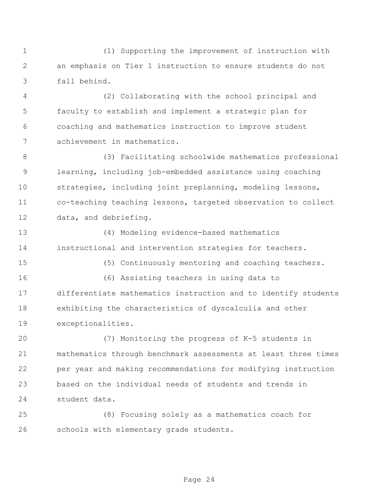(1) Supporting the improvement of instruction with an emphasis on Tier 1 instruction to ensure students do not fall behind.

 (2) Collaborating with the school principal and faculty to establish and implement a strategic plan for coaching and mathematics instruction to improve student achievement in mathematics.

 (3) Facilitating schoolwide mathematics professional learning, including job-embedded assistance using coaching strategies, including joint preplanning, modeling lessons, co-teaching teaching lessons, targeted observation to collect data, and debriefing.

 (4) Modeling evidence-based mathematics instructional and intervention strategies for teachers.

(5) Continuously mentoring and coaching teachers.

 (6) Assisting teachers in using data to differentiate mathematics instruction and to identify students exhibiting the characteristics of dyscalculia and other exceptionalities.

 (7) Monitoring the progress of K-5 students in mathematics through benchmark assessments at least three times per year and making recommendations for modifying instruction based on the individual needs of students and trends in student data.

 (8) Focusing solely as a mathematics coach for schools with elementary grade students.

Page 24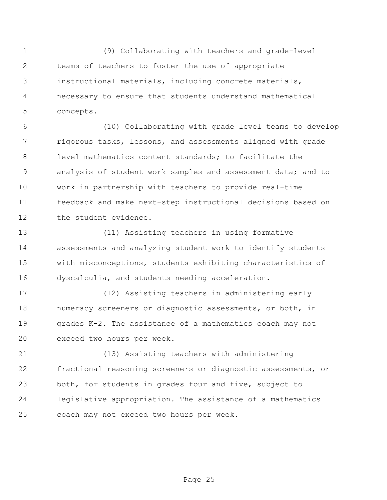(9) Collaborating with teachers and grade-level teams of teachers to foster the use of appropriate instructional materials, including concrete materials, necessary to ensure that students understand mathematical concepts.

 (10) Collaborating with grade level teams to develop rigorous tasks, lessons, and assessments aligned with grade level mathematics content standards; to facilitate the analysis of student work samples and assessment data; and to work in partnership with teachers to provide real-time feedback and make next-step instructional decisions based on the student evidence.

 (11) Assisting teachers in using formative assessments and analyzing student work to identify students with misconceptions, students exhibiting characteristics of dyscalculia, and students needing acceleration.

 (12) Assisting teachers in administering early numeracy screeners or diagnostic assessments, or both, in grades K-2. The assistance of a mathematics coach may not exceed two hours per week.

 (13) Assisting teachers with administering fractional reasoning screeners or diagnostic assessments, or both, for students in grades four and five, subject to legislative appropriation. The assistance of a mathematics coach may not exceed two hours per week.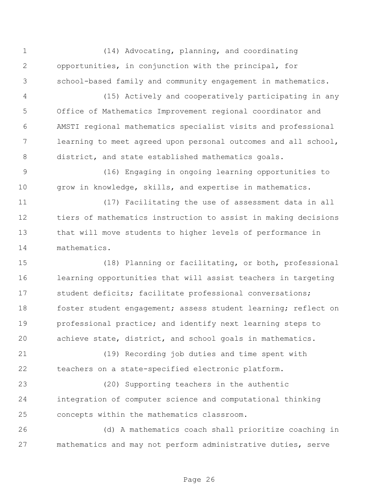(14) Advocating, planning, and coordinating opportunities, in conjunction with the principal, for school-based family and community engagement in mathematics.

 (15) Actively and cooperatively participating in any Office of Mathematics Improvement regional coordinator and AMSTI regional mathematics specialist visits and professional learning to meet agreed upon personal outcomes and all school, district, and state established mathematics goals.

 (16) Engaging in ongoing learning opportunities to grow in knowledge, skills, and expertise in mathematics.

 (17) Facilitating the use of assessment data in all tiers of mathematics instruction to assist in making decisions that will move students to higher levels of performance in mathematics.

 (18) Planning or facilitating, or both, professional learning opportunities that will assist teachers in targeting student deficits; facilitate professional conversations; 18 foster student engagement; assess student learning; reflect on professional practice; and identify next learning steps to achieve state, district, and school goals in mathematics.

 (19) Recording job duties and time spent with teachers on a state-specified electronic platform.

 (20) Supporting teachers in the authentic integration of computer science and computational thinking concepts within the mathematics classroom.

 (d) A mathematics coach shall prioritize coaching in mathematics and may not perform administrative duties, serve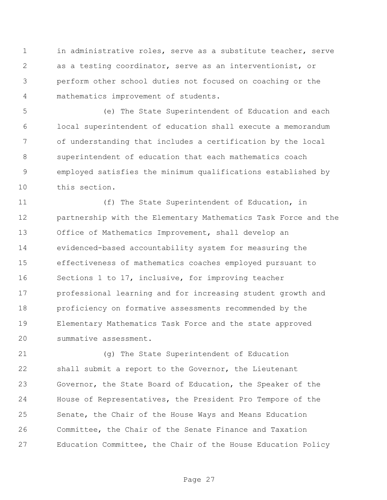in administrative roles, serve as a substitute teacher, serve as a testing coordinator, serve as an interventionist, or perform other school duties not focused on coaching or the mathematics improvement of students.

 (e) The State Superintendent of Education and each local superintendent of education shall execute a memorandum of understanding that includes a certification by the local superintendent of education that each mathematics coach employed satisfies the minimum qualifications established by this section.

 (f) The State Superintendent of Education, in partnership with the Elementary Mathematics Task Force and the Office of Mathematics Improvement, shall develop an evidenced-based accountability system for measuring the effectiveness of mathematics coaches employed pursuant to Sections 1 to 17, inclusive, for improving teacher professional learning and for increasing student growth and proficiency on formative assessments recommended by the Elementary Mathematics Task Force and the state approved 20 summative assessment.

 (g) The State Superintendent of Education shall submit a report to the Governor, the Lieutenant Governor, the State Board of Education, the Speaker of the House of Representatives, the President Pro Tempore of the Senate, the Chair of the House Ways and Means Education Committee, the Chair of the Senate Finance and Taxation Education Committee, the Chair of the House Education Policy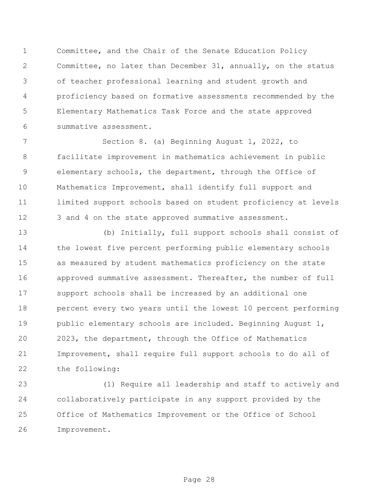Committee, and the Chair of the Senate Education Policy Committee, no later than December 31, annually, on the status of teacher professional learning and student growth and proficiency based on formative assessments recommended by the Elementary Mathematics Task Force and the state approved summative assessment.

 Section 8. (a) Beginning August 1, 2022, to facilitate improvement in mathematics achievement in public elementary schools, the department, through the Office of Mathematics Improvement, shall identify full support and limited support schools based on student proficiency at levels 12 3 and 4 on the state approved summative assessment.

 (b) Initially, full support schools shall consist of the lowest five percent performing public elementary schools as measured by student mathematics proficiency on the state approved summative assessment. Thereafter, the number of full support schools shall be increased by an additional one percent every two years until the lowest 10 percent performing public elementary schools are included. Beginning August 1, 2023, the department, through the Office of Mathematics Improvement, shall require full support schools to do all of the following:

 (1) Require all leadership and staff to actively and collaboratively participate in any support provided by the Office of Mathematics Improvement or the Office of School Improvement.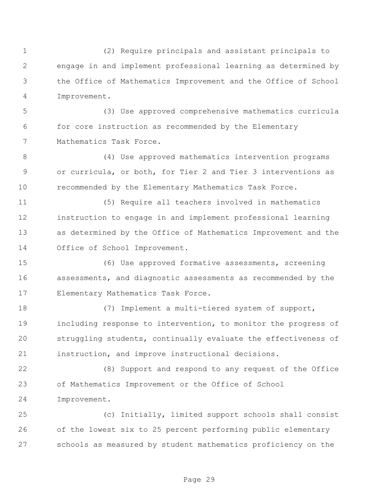(2) Require principals and assistant principals to engage in and implement professional learning as determined by the Office of Mathematics Improvement and the Office of School Improvement.

 (3) Use approved comprehensive mathematics curricula for core instruction as recommended by the Elementary Mathematics Task Force.

 (4) Use approved mathematics intervention programs or curricula, or both, for Tier 2 and Tier 3 interventions as recommended by the Elementary Mathematics Task Force.

 (5) Require all teachers involved in mathematics instruction to engage in and implement professional learning as determined by the Office of Mathematics Improvement and the Office of School Improvement.

 (6) Use approved formative assessments, screening assessments, and diagnostic assessments as recommended by the Elementary Mathematics Task Force.

 (7) Implement a multi-tiered system of support, including response to intervention, to monitor the progress of struggling students, continually evaluate the effectiveness of instruction, and improve instructional decisions.

 (8) Support and respond to any request of the Office of Mathematics Improvement or the Office of School Improvement.

 (c) Initially, limited support schools shall consist of the lowest six to 25 percent performing public elementary schools as measured by student mathematics proficiency on the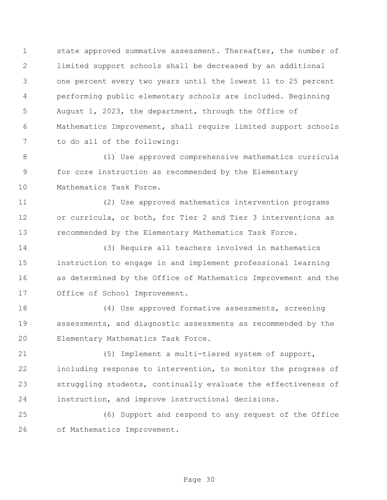state approved summative assessment. Thereafter, the number of limited support schools shall be decreased by an additional one percent every two years until the lowest 11 to 25 percent performing public elementary schools are included. Beginning August 1, 2023, the department, through the Office of Mathematics Improvement, shall require limited support schools to do all of the following:

 (1) Use approved comprehensive mathematics curricula for core instruction as recommended by the Elementary Mathematics Task Force.

 (2) Use approved mathematics intervention programs or curricula, or both, for Tier 2 and Tier 3 interventions as recommended by the Elementary Mathematics Task Force.

 (3) Require all teachers involved in mathematics instruction to engage in and implement professional learning as determined by the Office of Mathematics Improvement and the Office of School Improvement.

 (4) Use approved formative assessments, screening assessments, and diagnostic assessments as recommended by the Elementary Mathematics Task Force.

 (5) Implement a multi-tiered system of support, including response to intervention, to monitor the progress of struggling students, continually evaluate the effectiveness of instruction, and improve instructional decisions.

 (6) Support and respond to any request of the Office of Mathematics Improvement.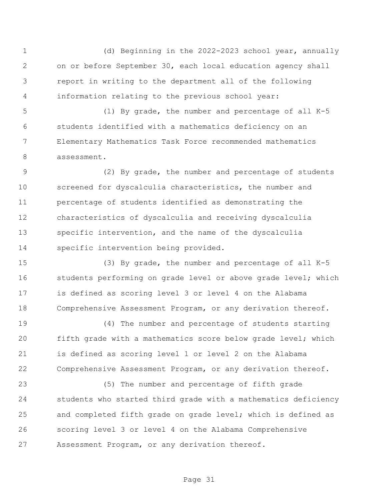(d) Beginning in the 2022-2023 school year, annually on or before September 30, each local education agency shall report in writing to the department all of the following information relating to the previous school year:

 (1) By grade, the number and percentage of all K-5 students identified with a mathematics deficiency on an Elementary Mathematics Task Force recommended mathematics assessment.

 (2) By grade, the number and percentage of students screened for dyscalculia characteristics, the number and percentage of students identified as demonstrating the characteristics of dyscalculia and receiving dyscalculia specific intervention, and the name of the dyscalculia specific intervention being provided.

 (3) By grade, the number and percentage of all K-5 16 students performing on grade level or above grade level; which is defined as scoring level 3 or level 4 on the Alabama 18 Comprehensive Assessment Program, or any derivation thereof.

 (4) The number and percentage of students starting fifth grade with a mathematics score below grade level; which is defined as scoring level 1 or level 2 on the Alabama Comprehensive Assessment Program, or any derivation thereof.

 (5) The number and percentage of fifth grade students who started third grade with a mathematics deficiency and completed fifth grade on grade level; which is defined as scoring level 3 or level 4 on the Alabama Comprehensive Assessment Program, or any derivation thereof.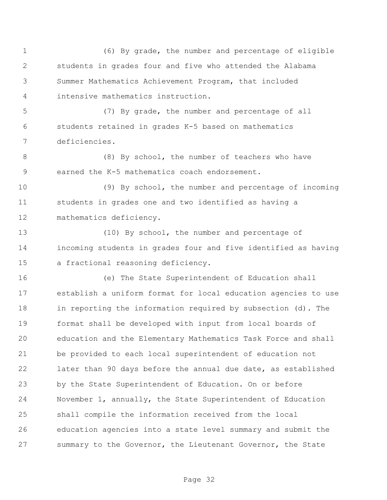(6) By grade, the number and percentage of eligible students in grades four and five who attended the Alabama Summer Mathematics Achievement Program, that included intensive mathematics instruction.

 (7) By grade, the number and percentage of all students retained in grades K-5 based on mathematics deficiencies.

8 (8) By school, the number of teachers who have earned the K-5 mathematics coach endorsement.

 (9) By school, the number and percentage of incoming students in grades one and two identified as having a mathematics deficiency.

 (10) By school, the number and percentage of incoming students in grades four and five identified as having a fractional reasoning deficiency.

 (e) The State Superintendent of Education shall establish a uniform format for local education agencies to use in reporting the information required by subsection (d). The format shall be developed with input from local boards of education and the Elementary Mathematics Task Force and shall be provided to each local superintendent of education not later than 90 days before the annual due date, as established by the State Superintendent of Education. On or before November 1, annually, the State Superintendent of Education shall compile the information received from the local education agencies into a state level summary and submit the summary to the Governor, the Lieutenant Governor, the State

Page 32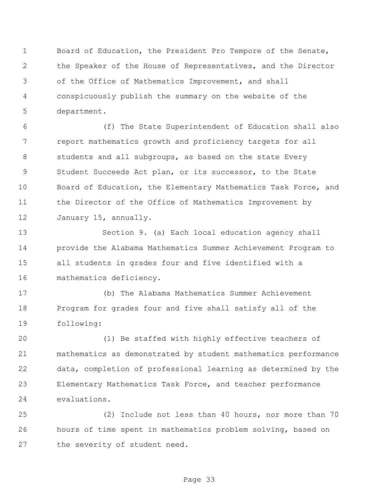Board of Education, the President Pro Tempore of the Senate, the Speaker of the House of Representatives, and the Director of the Office of Mathematics Improvement, and shall conspicuously publish the summary on the website of the department.

 (f) The State Superintendent of Education shall also report mathematics growth and proficiency targets for all 8 students and all subgroups, as based on the state Every Student Succeeds Act plan, or its successor, to the State Board of Education, the Elementary Mathematics Task Force, and the Director of the Office of Mathematics Improvement by January 15, annually.

 Section 9. (a) Each local education agency shall provide the Alabama Mathematics Summer Achievement Program to all students in grades four and five identified with a mathematics deficiency.

 (b) The Alabama Mathematics Summer Achievement Program for grades four and five shall satisfy all of the following:

 (1) Be staffed with highly effective teachers of mathematics as demonstrated by student mathematics performance data, completion of professional learning as determined by the Elementary Mathematics Task Force, and teacher performance evaluations.

 (2) Include not less than 40 hours, nor more than 70 hours of time spent in mathematics problem solving, based on the severity of student need.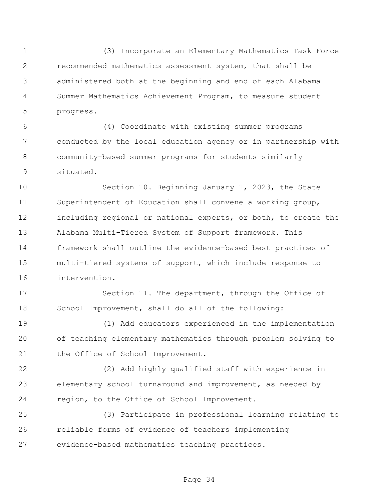(3) Incorporate an Elementary Mathematics Task Force recommended mathematics assessment system, that shall be administered both at the beginning and end of each Alabama Summer Mathematics Achievement Program, to measure student progress.

 (4) Coordinate with existing summer programs conducted by the local education agency or in partnership with community-based summer programs for students similarly situated.

 Section 10. Beginning January 1, 2023, the State Superintendent of Education shall convene a working group, including regional or national experts, or both, to create the Alabama Multi-Tiered System of Support framework. This framework shall outline the evidence-based best practices of multi-tiered systems of support, which include response to intervention.

 Section 11. The department, through the Office of School Improvement, shall do all of the following:

 (1) Add educators experienced in the implementation of teaching elementary mathematics through problem solving to 21 the Office of School Improvement.

 (2) Add highly qualified staff with experience in elementary school turnaround and improvement, as needed by region, to the Office of School Improvement.

 (3) Participate in professional learning relating to reliable forms of evidence of teachers implementing evidence-based mathematics teaching practices.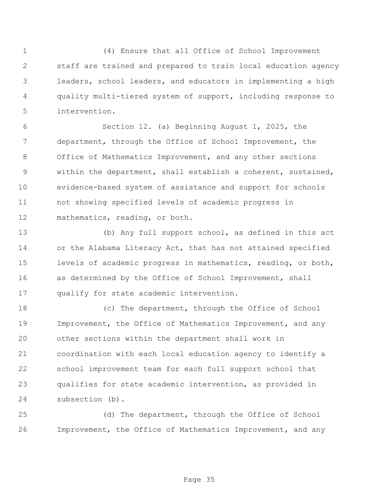(4) Ensure that all Office of School Improvement staff are trained and prepared to train local education agency leaders, school leaders, and educators in implementing a high quality multi-tiered system of support, including response to intervention.

 Section 12. (a) Beginning August 1, 2025, the department, through the Office of School Improvement, the Office of Mathematics Improvement, and any other sections within the department, shall establish a coherent, sustained, evidence-based system of assistance and support for schools not showing specified levels of academic progress in mathematics, reading, or both.

 (b) Any full support school, as defined in this act or the Alabama Literacy Act, that has not attained specified levels of academic progress in mathematics, reading, or both, as determined by the Office of School Improvement, shall qualify for state academic intervention.

 (c) The department, through the Office of School Improvement, the Office of Mathematics Improvement, and any other sections within the department shall work in coordination with each local education agency to identify a school improvement team for each full support school that qualifies for state academic intervention, as provided in subsection (b).

 (d) The department, through the Office of School Improvement, the Office of Mathematics Improvement, and any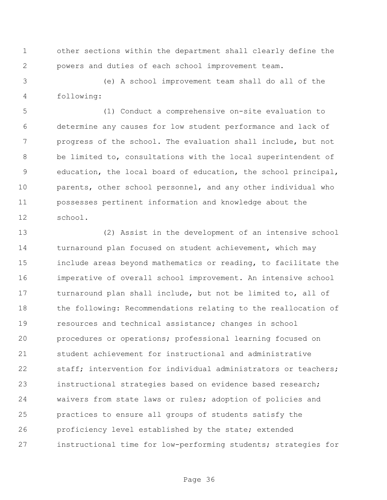other sections within the department shall clearly define the powers and duties of each school improvement team.

 (e) A school improvement team shall do all of the following:

 (1) Conduct a comprehensive on-site evaluation to determine any causes for low student performance and lack of progress of the school. The evaluation shall include, but not be limited to, consultations with the local superintendent of education, the local board of education, the school principal, parents, other school personnel, and any other individual who possesses pertinent information and knowledge about the school.

 (2) Assist in the development of an intensive school turnaround plan focused on student achievement, which may include areas beyond mathematics or reading, to facilitate the imperative of overall school improvement. An intensive school turnaround plan shall include, but not be limited to, all of 18 the following: Recommendations relating to the reallocation of resources and technical assistance; changes in school procedures or operations; professional learning focused on student achievement for instructional and administrative staff; intervention for individual administrators or teachers; instructional strategies based on evidence based research; waivers from state laws or rules; adoption of policies and practices to ensure all groups of students satisfy the proficiency level established by the state; extended instructional time for low-performing students; strategies for

Page 36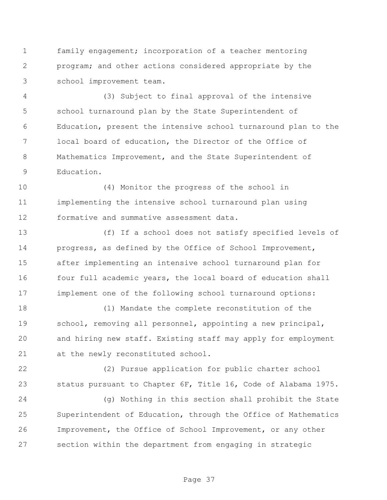family engagement; incorporation of a teacher mentoring program; and other actions considered appropriate by the school improvement team.

 (3) Subject to final approval of the intensive school turnaround plan by the State Superintendent of Education, present the intensive school turnaround plan to the local board of education, the Director of the Office of Mathematics Improvement, and the State Superintendent of Education.

 (4) Monitor the progress of the school in implementing the intensive school turnaround plan using formative and summative assessment data.

 (f) If a school does not satisfy specified levels of progress, as defined by the Office of School Improvement, after implementing an intensive school turnaround plan for 16 four full academic years, the local board of education shall implement one of the following school turnaround options:

 (1) Mandate the complete reconstitution of the school, removing all personnel, appointing a new principal, and hiring new staff. Existing staff may apply for employment at the newly reconstituted school.

 (2) Pursue application for public charter school status pursuant to Chapter 6F, Title 16, Code of Alabama 1975.

 (g) Nothing in this section shall prohibit the State Superintendent of Education, through the Office of Mathematics Improvement, the Office of School Improvement, or any other section within the department from engaging in strategic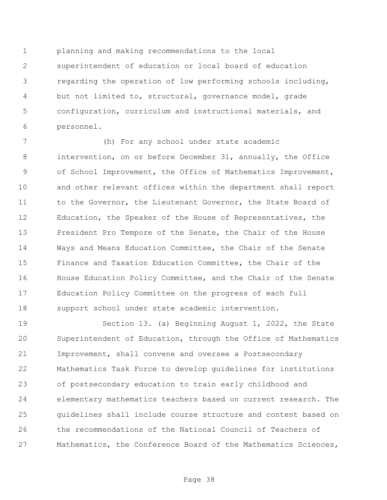planning and making recommendations to the local superintendent of education or local board of education regarding the operation of low performing schools including, but not limited to, structural, governance model, grade configuration, curriculum and instructional materials, and personnel.

 (h) For any school under state academic intervention, on or before December 31, annually, the Office of School Improvement, the Office of Mathematics Improvement, and other relevant offices within the department shall report 11 to the Governor, the Lieutenant Governor, the State Board of Education, the Speaker of the House of Representatives, the President Pro Tempore of the Senate, the Chair of the House Ways and Means Education Committee, the Chair of the Senate Finance and Taxation Education Committee, the Chair of the House Education Policy Committee, and the Chair of the Senate Education Policy Committee on the progress of each full support school under state academic intervention.

 Section 13. (a) Beginning August 1, 2022, the State Superintendent of Education, through the Office of Mathematics Improvement, shall convene and oversee a Postsecondary Mathematics Task Force to develop guidelines for institutions of postsecondary education to train early childhood and elementary mathematics teachers based on current research. The guidelines shall include course structure and content based on the recommendations of the National Council of Teachers of Mathematics, the Conference Board of the Mathematics Sciences,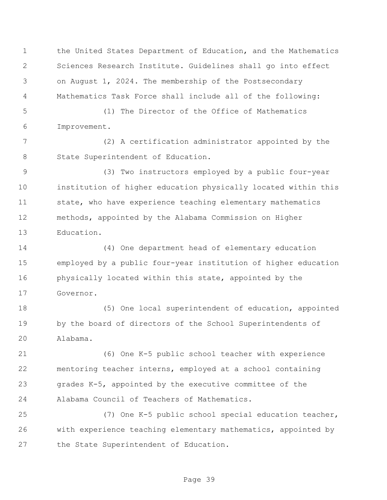the United States Department of Education, and the Mathematics Sciences Research Institute. Guidelines shall go into effect on August 1, 2024. The membership of the Postsecondary Mathematics Task Force shall include all of the following:

 (1) The Director of the Office of Mathematics Improvement.

 (2) A certification administrator appointed by the 8 State Superintendent of Education.

 (3) Two instructors employed by a public four-year institution of higher education physically located within this state, who have experience teaching elementary mathematics methods, appointed by the Alabama Commission on Higher Education.

 (4) One department head of elementary education employed by a public four-year institution of higher education physically located within this state, appointed by the Governor.

18 (5) One local superintendent of education, appointed by the board of directors of the School Superintendents of Alabama.

 (6) One K-5 public school teacher with experience mentoring teacher interns, employed at a school containing grades K-5, appointed by the executive committee of the Alabama Council of Teachers of Mathematics.

 (7) One K-5 public school special education teacher, with experience teaching elementary mathematics, appointed by the State Superintendent of Education.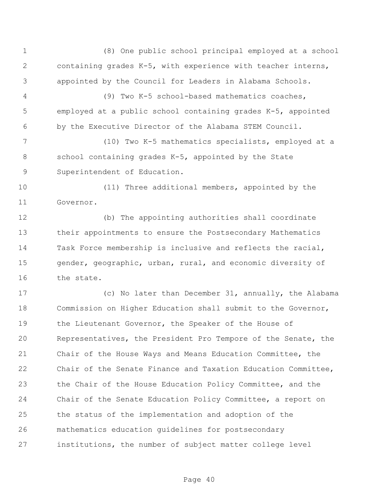(8) One public school principal employed at a school containing grades K-5, with experience with teacher interns, appointed by the Council for Leaders in Alabama Schools.

 (9) Two K-5 school-based mathematics coaches, employed at a public school containing grades K-5, appointed by the Executive Director of the Alabama STEM Council.

 (10) Two K-5 mathematics specialists, employed at a school containing grades K-5, appointed by the State Superintendent of Education.

 (11) Three additional members, appointed by the Governor.

 (b) The appointing authorities shall coordinate their appointments to ensure the Postsecondary Mathematics Task Force membership is inclusive and reflects the racial, gender, geographic, urban, rural, and economic diversity of the state.

 (c) No later than December 31, annually, the Alabama Commission on Higher Education shall submit to the Governor, 19 the Lieutenant Governor, the Speaker of the House of Representatives, the President Pro Tempore of the Senate, the Chair of the House Ways and Means Education Committee, the Chair of the Senate Finance and Taxation Education Committee, the Chair of the House Education Policy Committee, and the Chair of the Senate Education Policy Committee, a report on the status of the implementation and adoption of the mathematics education guidelines for postsecondary institutions, the number of subject matter college level

Page 40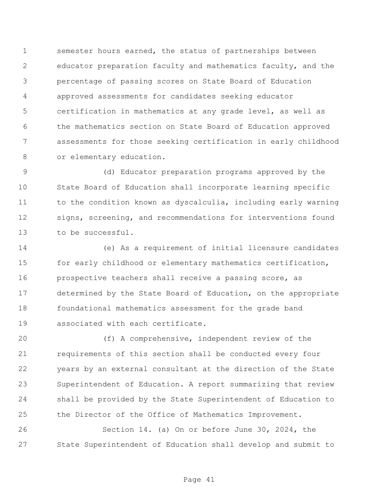semester hours earned, the status of partnerships between educator preparation faculty and mathematics faculty, and the percentage of passing scores on State Board of Education approved assessments for candidates seeking educator certification in mathematics at any grade level, as well as the mathematics section on State Board of Education approved assessments for those seeking certification in early childhood 8 or elementary education.

 (d) Educator preparation programs approved by the State Board of Education shall incorporate learning specific 11 to the condition known as dyscalculia, including early warning signs, screening, and recommendations for interventions found to be successful.

 (e) As a requirement of initial licensure candidates for early childhood or elementary mathematics certification, prospective teachers shall receive a passing score, as determined by the State Board of Education, on the appropriate foundational mathematics assessment for the grade band associated with each certificate.

 (f) A comprehensive, independent review of the requirements of this section shall be conducted every four years by an external consultant at the direction of the State Superintendent of Education. A report summarizing that review shall be provided by the State Superintendent of Education to the Director of the Office of Mathematics Improvement.

 Section 14. (a) On or before June 30, 2024, the State Superintendent of Education shall develop and submit to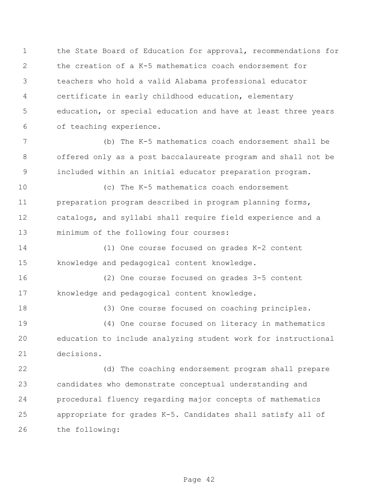the State Board of Education for approval, recommendations for the creation of a K-5 mathematics coach endorsement for teachers who hold a valid Alabama professional educator certificate in early childhood education, elementary education, or special education and have at least three years of teaching experience.

 (b) The K-5 mathematics coach endorsement shall be offered only as a post baccalaureate program and shall not be included within an initial educator preparation program.

 (c) The K-5 mathematics coach endorsement preparation program described in program planning forms, catalogs, and syllabi shall require field experience and a minimum of the following four courses:

 (1) One course focused on grades K-2 content knowledge and pedagogical content knowledge.

 (2) One course focused on grades 3-5 content knowledge and pedagogical content knowledge.

 (3) One course focused on coaching principles. (4) One course focused on literacy in mathematics education to include analyzing student work for instructional decisions.

 (d) The coaching endorsement program shall prepare candidates who demonstrate conceptual understanding and procedural fluency regarding major concepts of mathematics appropriate for grades K-5. Candidates shall satisfy all of the following: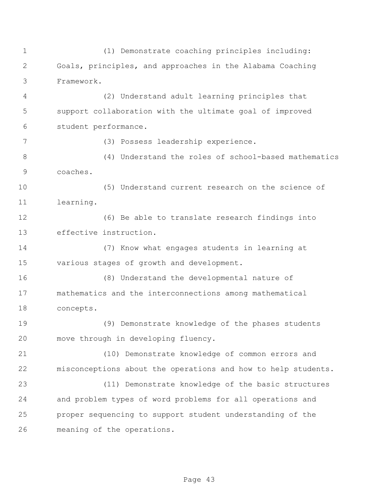(1) Demonstrate coaching principles including: Goals, principles, and approaches in the Alabama Coaching Framework.

 (2) Understand adult learning principles that support collaboration with the ultimate goal of improved student performance.

(3) Possess leadership experience.

 (4) Understand the roles of school-based mathematics coaches.

 (5) Understand current research on the science of learning.

 (6) Be able to translate research findings into effective instruction.

 (7) Know what engages students in learning at various stages of growth and development.

 (8) Understand the developmental nature of mathematics and the interconnections among mathematical concepts.

 (9) Demonstrate knowledge of the phases students move through in developing fluency.

 (10) Demonstrate knowledge of common errors and misconceptions about the operations and how to help students.

 (11) Demonstrate knowledge of the basic structures and problem types of word problems for all operations and proper sequencing to support student understanding of the meaning of the operations.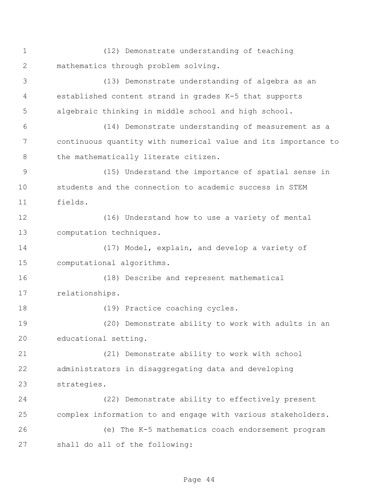(12) Demonstrate understanding of teaching mathematics through problem solving.

 (13) Demonstrate understanding of algebra as an established content strand in grades K-5 that supports algebraic thinking in middle school and high school.

 (14) Demonstrate understanding of measurement as a continuous quantity with numerical value and its importance to 8 the mathematically literate citizen.

 (15) Understand the importance of spatial sense in students and the connection to academic success in STEM fields.

 (16) Understand how to use a variety of mental computation techniques.

 (17) Model, explain, and develop a variety of computational algorithms.

 (18) Describe and represent mathematical relationships.

18 (19) Practice coaching cycles.

 (20) Demonstrate ability to work with adults in an educational setting.

 (21) Demonstrate ability to work with school administrators in disaggregating data and developing strategies.

 (22) Demonstrate ability to effectively present complex information to and engage with various stakeholders.

 (e) The K-5 mathematics coach endorsement program shall do all of the following: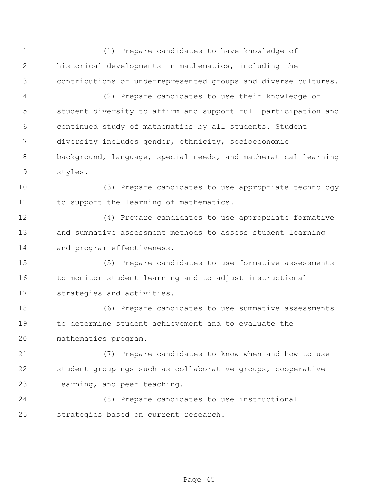(1) Prepare candidates to have knowledge of historical developments in mathematics, including the contributions of underrepresented groups and diverse cultures.

 (2) Prepare candidates to use their knowledge of student diversity to affirm and support full participation and continued study of mathematics by all students. Student diversity includes gender, ethnicity, socioeconomic background, language, special needs, and mathematical learning styles.

 (3) Prepare candidates to use appropriate technology 11 to support the learning of mathematics.

 (4) Prepare candidates to use appropriate formative and summative assessment methods to assess student learning and program effectiveness.

 (5) Prepare candidates to use formative assessments 16 to monitor student learning and to adjust instructional strategies and activities.

 (6) Prepare candidates to use summative assessments to determine student achievement and to evaluate the mathematics program.

 (7) Prepare candidates to know when and how to use student groupings such as collaborative groups, cooperative learning, and peer teaching.

 (8) Prepare candidates to use instructional strategies based on current research.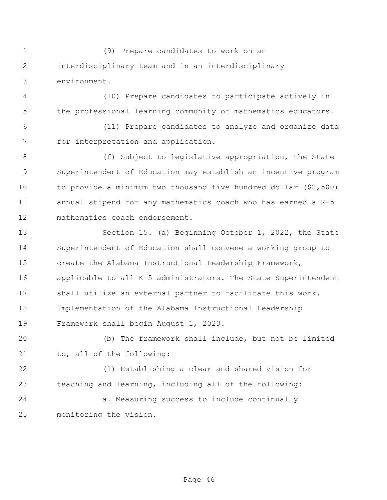(9) Prepare candidates to work on an interdisciplinary team and in an interdisciplinary environment.

 (10) Prepare candidates to participate actively in the professional learning community of mathematics educators.

 (11) Prepare candidates to analyze and organize data for interpretation and application.

8 (f) Subject to legislative appropriation, the State Superintendent of Education may establish an incentive program to provide a minimum two thousand five hundred dollar (\$2,500) annual stipend for any mathematics coach who has earned a K-5 mathematics coach endorsement.

 Section 15. (a) Beginning October 1, 2022, the State Superintendent of Education shall convene a working group to create the Alabama Instructional Leadership Framework, applicable to all K-5 administrators. The State Superintendent shall utilize an external partner to facilitate this work. Implementation of the Alabama Instructional Leadership Framework shall begin August 1, 2023.

 (b) The framework shall include, but not be limited to, all of the following:

 (1) Establishing a clear and shared vision for teaching and learning, including all of the following:

 a. Measuring success to include continually monitoring the vision.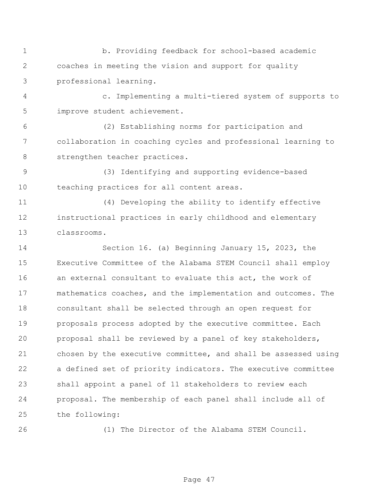b. Providing feedback for school-based academic coaches in meeting the vision and support for quality professional learning.

 c. Implementing a multi-tiered system of supports to improve student achievement.

 (2) Establishing norms for participation and collaboration in coaching cycles and professional learning to 8 strengthen teacher practices.

 (3) Identifying and supporting evidence-based teaching practices for all content areas.

 (4) Developing the ability to identify effective instructional practices in early childhood and elementary classrooms.

 Section 16. (a) Beginning January 15, 2023, the Executive Committee of the Alabama STEM Council shall employ an external consultant to evaluate this act, the work of mathematics coaches, and the implementation and outcomes. The consultant shall be selected through an open request for proposals process adopted by the executive committee. Each proposal shall be reviewed by a panel of key stakeholders, chosen by the executive committee, and shall be assessed using a defined set of priority indicators. The executive committee shall appoint a panel of 11 stakeholders to review each proposal. The membership of each panel shall include all of the following:

(1) The Director of the Alabama STEM Council.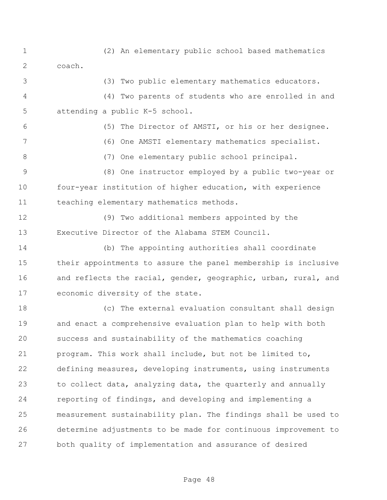(2) An elementary public school based mathematics coach.

(3) Two public elementary mathematics educators.

 (4) Two parents of students who are enrolled in and attending a public K-5 school.

 (5) The Director of AMSTI, or his or her designee. (6) One AMSTI elementary mathematics specialist. (7) One elementary public school principal. (8) One instructor employed by a public two-year or

 four-year institution of higher education, with experience teaching elementary mathematics methods.

 (9) Two additional members appointed by the Executive Director of the Alabama STEM Council.

 (b) The appointing authorities shall coordinate their appointments to assure the panel membership is inclusive and reflects the racial, gender, geographic, urban, rural, and economic diversity of the state.

 (c) The external evaluation consultant shall design and enact a comprehensive evaluation plan to help with both success and sustainability of the mathematics coaching program. This work shall include, but not be limited to, defining measures, developing instruments, using instruments to collect data, analyzing data, the quarterly and annually reporting of findings, and developing and implementing a measurement sustainability plan. The findings shall be used to determine adjustments to be made for continuous improvement to both quality of implementation and assurance of desired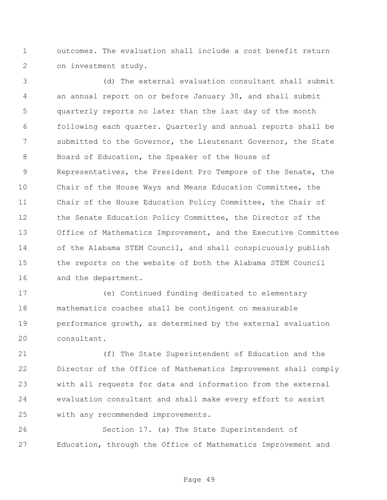outcomes. The evaluation shall include a cost benefit return on investment study.

 (d) The external evaluation consultant shall submit an annual report on or before January 30, and shall submit quarterly reports no later than the last day of the month following each quarter. Quarterly and annual reports shall be submitted to the Governor, the Lieutenant Governor, the State Board of Education, the Speaker of the House of Representatives, the President Pro Tempore of the Senate, the Chair of the House Ways and Means Education Committee, the Chair of the House Education Policy Committee, the Chair of 12 the Senate Education Policy Committee, the Director of the Office of Mathematics Improvement, and the Executive Committee of the Alabama STEM Council, and shall conspicuously publish the reports on the website of both the Alabama STEM Council and the department.

 (e) Continued funding dedicated to elementary mathematics coaches shall be contingent on measurable performance growth, as determined by the external evaluation consultant.

 (f) The State Superintendent of Education and the Director of the Office of Mathematics Improvement shall comply with all requests for data and information from the external evaluation consultant and shall make every effort to assist with any recommended improvements.

 Section 17. (a) The State Superintendent of Education, through the Office of Mathematics Improvement and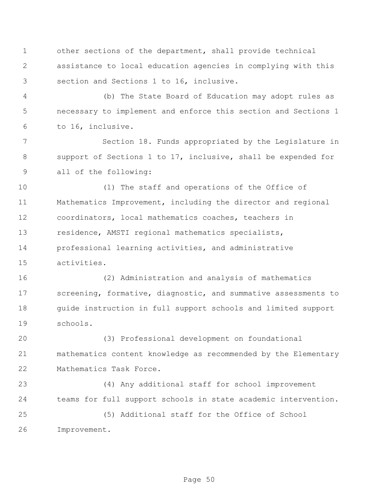other sections of the department, shall provide technical assistance to local education agencies in complying with this section and Sections 1 to 16, inclusive.

 (b) The State Board of Education may adopt rules as necessary to implement and enforce this section and Sections 1 to 16, inclusive.

 Section 18. Funds appropriated by the Legislature in support of Sections 1 to 17, inclusive, shall be expended for all of the following:

 (1) The staff and operations of the Office of Mathematics Improvement, including the director and regional coordinators, local mathematics coaches, teachers in residence, AMSTI regional mathematics specialists, professional learning activities, and administrative activities.

 (2) Administration and analysis of mathematics screening, formative, diagnostic, and summative assessments to guide instruction in full support schools and limited support schools.

 (3) Professional development on foundational mathematics content knowledge as recommended by the Elementary Mathematics Task Force.

 (4) Any additional staff for school improvement teams for full support schools in state academic intervention.

 (5) Additional staff for the Office of School Improvement.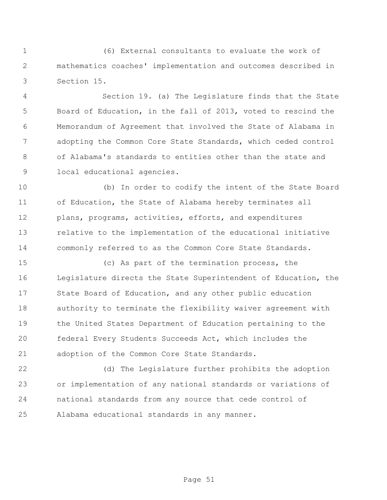(6) External consultants to evaluate the work of mathematics coaches' implementation and outcomes described in Section 15.

 Section 19. (a) The Legislature finds that the State Board of Education, in the fall of 2013, voted to rescind the Memorandum of Agreement that involved the State of Alabama in adopting the Common Core State Standards, which ceded control of Alabama's standards to entities other than the state and local educational agencies.

 (b) In order to codify the intent of the State Board of Education, the State of Alabama hereby terminates all plans, programs, activities, efforts, and expenditures relative to the implementation of the educational initiative commonly referred to as the Common Core State Standards.

 (c) As part of the termination process, the Legislature directs the State Superintendent of Education, the State Board of Education, and any other public education authority to terminate the flexibility waiver agreement with the United States Department of Education pertaining to the federal Every Students Succeeds Act, which includes the adoption of the Common Core State Standards.

 (d) The Legislature further prohibits the adoption or implementation of any national standards or variations of national standards from any source that cede control of Alabama educational standards in any manner.